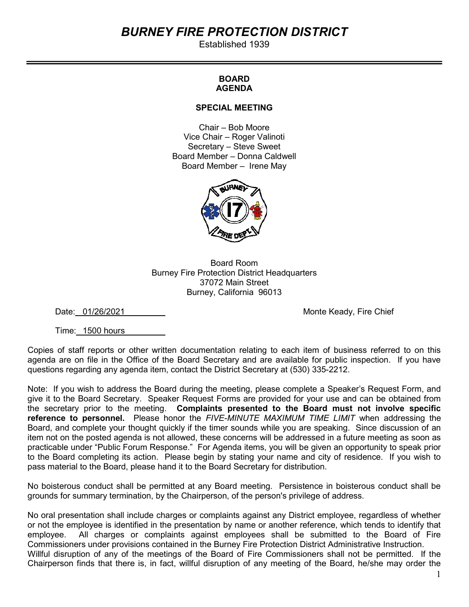# BURNEY FIRE PROTECTION DISTRICT

Established 1939

## BOARD AGENDA

#### SPECIAL MEETING

Chair – Bob Moore Vice Chair – Roger Valinoti Secretary – Steve Sweet Board Member – Donna Caldwell Board Member – Irene May



Board Room Burney Fire Protection District Headquarters 37072 Main Street Burney, California 96013

Date: 01/26/2021 **Monte Keady, Fire Chief** 

Time: 1500 hours

Copies of staff reports or other written documentation relating to each item of business referred to on this agenda are on file in the Office of the Board Secretary and are available for public inspection. If you have questions regarding any agenda item, contact the District Secretary at (530) 335-2212.

Note: If you wish to address the Board during the meeting, please complete a Speaker's Request Form, and give it to the Board Secretary. Speaker Request Forms are provided for your use and can be obtained from the secretary prior to the meeting. Complaints presented to the Board must not involve specific reference to personnel. Please honor the FIVE-MINUTE MAXIMUM TIME LIMIT when addressing the Board, and complete your thought quickly if the timer sounds while you are speaking. Since discussion of an item not on the posted agenda is not allowed, these concerns will be addressed in a future meeting as soon as practicable under "Public Forum Response." For Agenda items, you will be given an opportunity to speak prior to the Board completing its action. Please begin by stating your name and city of residence. If you wish to pass material to the Board, please hand it to the Board Secretary for distribution.

No boisterous conduct shall be permitted at any Board meeting. Persistence in boisterous conduct shall be grounds for summary termination, by the Chairperson, of the person's privilege of address.

No oral presentation shall include charges or complaints against any District employee, regardless of whether or not the employee is identified in the presentation by name or another reference, which tends to identify that employee. All charges or complaints against employees shall be submitted to the Board of Fire Commissioners under provisions contained in the Burney Fire Protection District Administrative Instruction. Willful disruption of any of the meetings of the Board of Fire Commissioners shall not be permitted. If the Chairperson finds that there is, in fact, willful disruption of any meeting of the Board, he/she may order the